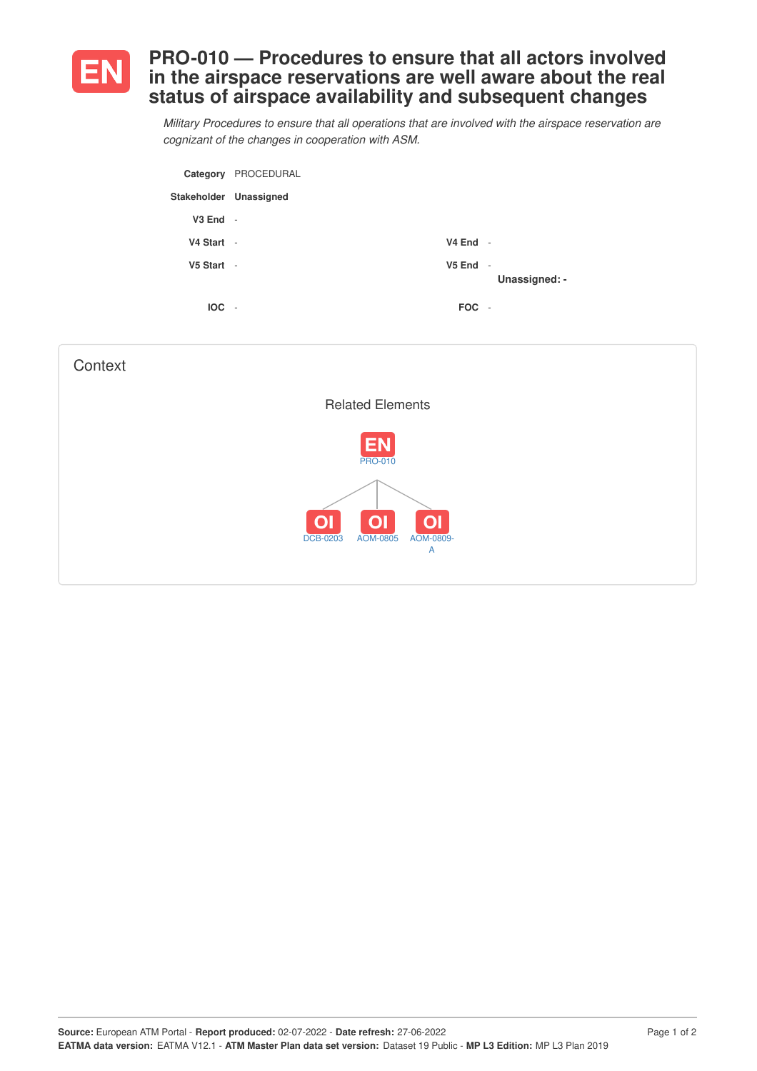

## **PRO-010 — Procedures to ensure that all actors involved in the airspace reservations are well aware about the real status of airspace availability and subsequent changes**

*Military Procedures to ensure that all operations that are involved with the airspace reservation are cognizant of the changes in cooperation with ASM.*

|                        | Category PROCEDURAL |            |               |
|------------------------|---------------------|------------|---------------|
| Stakeholder Unassigned |                     |            |               |
| V <sub>3</sub> End     | $\sim$              |            |               |
| V4 Start -             |                     | $V4$ End - |               |
| V5 Start -             |                     | $V5$ End - | Unassigned: - |
| <b>IOC</b>             | $\sim$              | FOC -      |               |